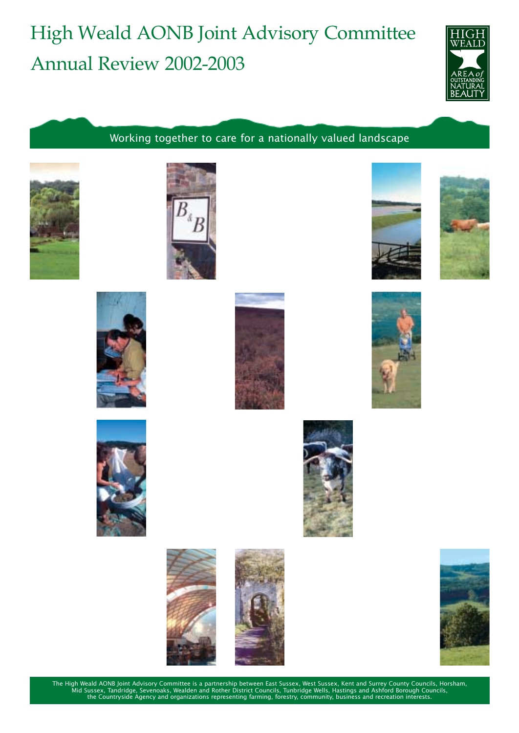# High Weald AONB Joint Advisory Committee Annual Review 2002-2003



# Working together to care for a nationally valued landscape



























The High Weald AONB Joint Advisory Committee is a partnership between East Sussex, West Sussex, Kent and Surrey County Councils, Horsham,<br>Mid Sussex, Tandridge, Sevenoaks, Wealden and Rother District Councils, Tunbridge We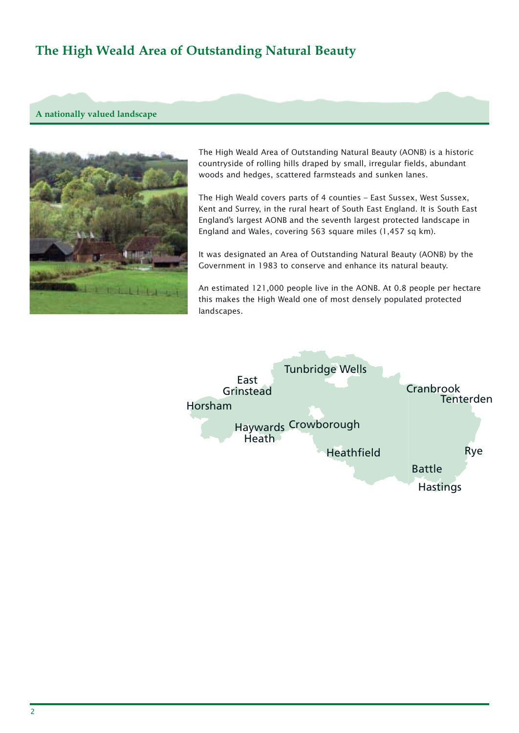# **The High Weald Area of Outstanding Natural Beauty**

### **A nationally valued landscape**



The High Weald Area of Outstanding Natural Beauty (AONB) is a historic countryside of rolling hills draped by small, irregular fields, abundant woods and hedges, scattered farmsteads and sunken lanes.

The High Weald covers parts of 4 counties – East Sussex, West Sussex, Kent and Surrey, in the rural heart of South East England. It is South East England's largest AONB and the seventh largest protected landscape in England and Wales, covering 563 square miles (1,457 sq km).

It was designated an Area of Outstanding Natural Beauty (AONB) by the Government in 1983 to conserve and enhance its natural beauty.

An estimated 121,000 people live in the AONB. At 0.8 people per hectare this makes the High Weald one of most densely populated protected landscapes.

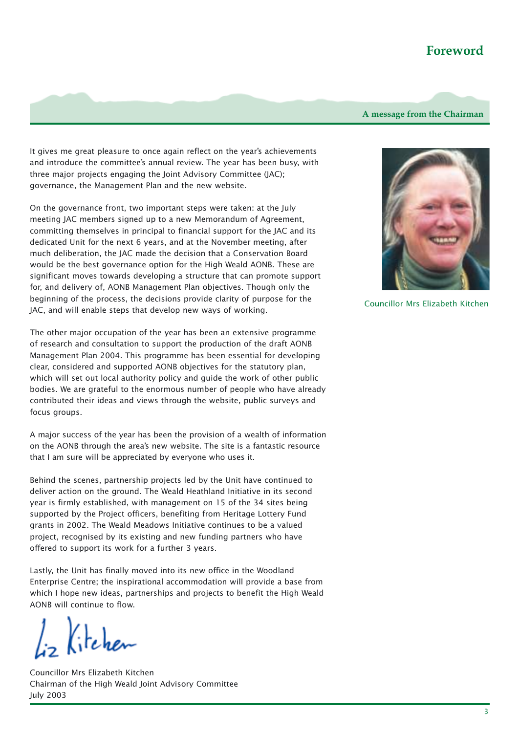# **Foreword**

### **A message from the Chairman**

It gives me great pleasure to once again reflect on the year's achievements and introduce the committee's annual review. The year has been busy, with three major projects engaging the Joint Advisory Committee (JAC); governance, the Management Plan and the new website.

On the governance front, two important steps were taken: at the July meeting JAC members signed up to a new Memorandum of Agreement, committing themselves in principal to financial support for the JAC and its dedicated Unit for the next 6 years, and at the November meeting, after much deliberation, the JAC made the decision that a Conservation Board would be the best governance option for the High Weald AONB. These are significant moves towards developing a structure that can promote support for, and delivery of, AONB Management Plan objectives. Though only the beginning of the process, the decisions provide clarity of purpose for the JAC, and will enable steps that develop new ways of working.

The other major occupation of the year has been an extensive programme of research and consultation to support the production of the draft AONB Management Plan 2004. This programme has been essential for developing clear, considered and supported AONB objectives for the statutory plan, which will set out local authority policy and guide the work of other public bodies. We are grateful to the enormous number of people who have already contributed their ideas and views through the website, public surveys and focus groups.

A major success of the year has been the provision of a wealth of information on the AONB through the area's new website. The site is a fantastic resource that I am sure will be appreciated by everyone who uses it.

Behind the scenes, partnership projects led by the Unit have continued to deliver action on the ground. The Weald Heathland Initiative in its second year is firmly established, with management on 15 of the 34 sites being supported by the Project officers, benefiting from Heritage Lottery Fund grants in 2002. The Weald Meadows Initiative continues to be a valued project, recognised by its existing and new funding partners who have offered to support its work for a further 3 years.

Lastly, the Unit has finally moved into its new office in the Woodland Enterprise Centre; the inspirational accommodation will provide a base from which I hope new ideas, partnerships and projects to benefit the High Weald AONB will continue to flow.

(itchen

Councillor Mrs Elizabeth Kitchen Chairman of the High Weald Joint Advisory Committee July 2003



Councillor Mrs Elizabeth Kitchen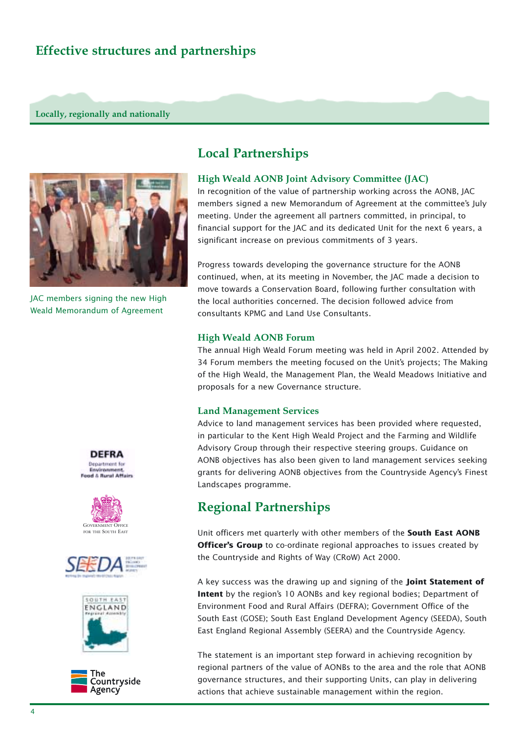# **Effective structures and partnerships**

#### **Locally, regionally and nationally**



JAC members signing the new High Weald Memorandum of Agreement

#### **DEFRA Department for**

vironme Food & Rural Affairs









### **Local Partnerships**

### **High Weald AONB Joint Advisory Committee (JAC)**

In recognition of the value of partnership working across the AONB, JAC members signed a new Memorandum of Agreement at the committee's July meeting. Under the agreement all partners committed, in principal, to financial support for the JAC and its dedicated Unit for the next 6 years, a significant increase on previous commitments of 3 years.

Progress towards developing the governance structure for the AONB continued, when, at its meeting in November, the JAC made a decision to move towards a Conservation Board, following further consultation with the local authorities concerned. The decision followed advice from consultants KPMG and Land Use Consultants.

### **High Weald AONB Forum**

The annual High Weald Forum meeting was held in April 2002. Attended by 34 Forum members the meeting focused on the Unit's projects; The Making of the High Weald, the Management Plan, the Weald Meadows Initiative and proposals for a new Governance structure.

#### **Land Management Services**

Advice to land management services has been provided where requested, in particular to the Kent High Weald Project and the Farming and Wildlife Advisory Group through their respective steering groups. Guidance on AONB objectives has also been given to land management services seeking grants for delivering AONB objectives from the Countryside Agency's Finest Landscapes programme.

## **Regional Partnerships**

Unit officers met quarterly with other members of the **South East AONB Officer's Group** to co-ordinate regional approaches to issues created by the Countryside and Rights of Way (CRoW) Act 2000.

A key success was the drawing up and signing of the **Joint Statement of Intent** by the region's 10 AONBs and key regional bodies; Department of Environment Food and Rural Affairs (DEFRA); Government Office of the South East (GOSE); South East England Development Agency (SEEDA), South East England Regional Assembly (SEERA) and the Countryside Agency.

The statement is an important step forward in achieving recognition by regional partners of the value of AONBs to the area and the role that AONB governance structures, and their supporting Units, can play in delivering actions that achieve sustainable management within the region.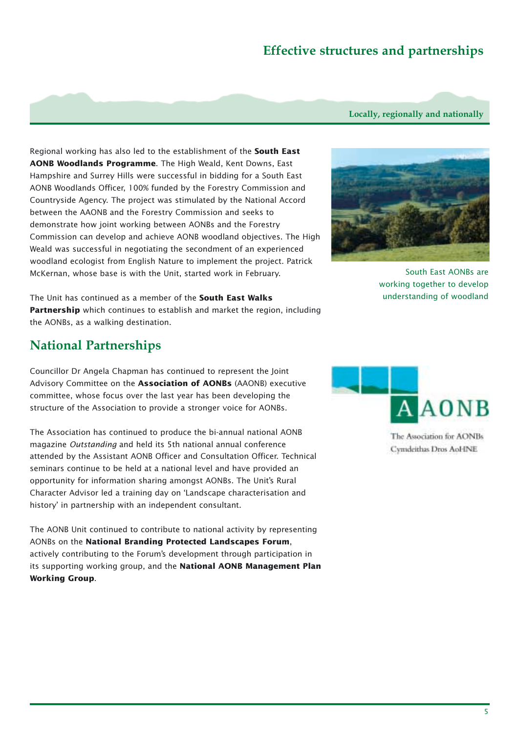# **Effective structures and partnerships**

#### **Locally, regionally and nationally**

Regional working has also led to the establishment of the **South East AONB Woodlands Programme**. The High Weald, Kent Downs, East Hampshire and Surrey Hills were successful in bidding for a South East AONB Woodlands Officer, 100% funded by the Forestry Commission and Countryside Agency. The project was stimulated by the National Accord between the AAONB and the Forestry Commission and seeks to demonstrate how joint working between AONBs and the Forestry Commission can develop and achieve AONB woodland objectives. The High Weald was successful in negotiating the secondment of an experienced woodland ecologist from English Nature to implement the project. Patrick McKernan, whose base is with the Unit, started work in February.

The Unit has continued as a member of the **South East Walks Partnership** which continues to establish and market the region, including the AONBs, as a walking destination.

## **National Partnerships**

Councillor Dr Angela Chapman has continued to represent the Joint Advisory Committee on the **Association of AONBs** (AAONB) executive committee, whose focus over the last year has been developing the structure of the Association to provide a stronger voice for AONBs.

The Association has continued to produce the bi-annual national AONB magazine *Outstanding* and held its 5th national annual conference attended by the Assistant AONB Officer and Consultation Officer. Technical seminars continue to be held at a national level and have provided an opportunity for information sharing amongst AONBs. The Unit's Rural Character Advisor led a training day on 'Landscape characterisation and history' in partnership with an independent consultant.

The AONB Unit continued to contribute to national activity by representing AONBs on the **National Branding Protected Landscapes Forum**, actively contributing to the Forum's development through participation in its supporting working group, and the **National AONB Management Plan Working Group**.



South East AONBs are working together to develop understanding of woodland



The Association for AONBs Cymdeithas Dros AoHNE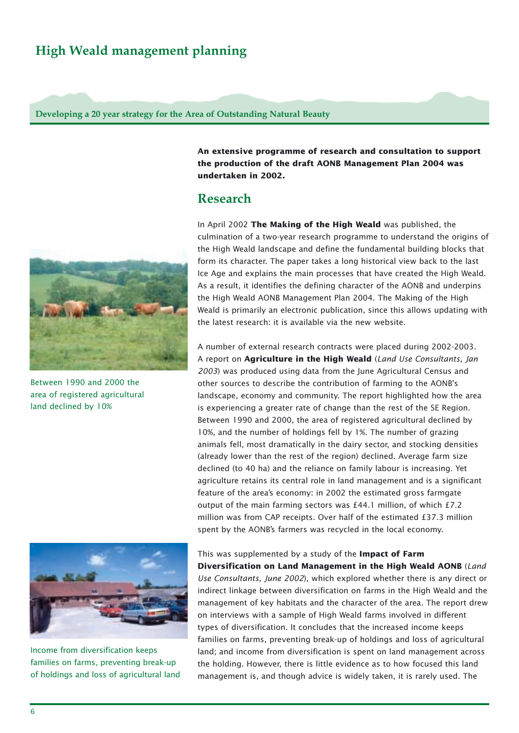# **High Weald management planning**

**Developing a 20 year strategy for the Area of Outstanding Natural Beauty**

Between 1990 and 2000 the area of registered agricultural land declined by 10%



Income from diversification keeps families on farms, preventing break-up of holdings and loss of agricultural land **An extensive programme of research and consultation to support the production of the draft AONB Management Plan 2004 was undertaken in 2002.**

# **Research**

In April 2002 **The Making of the High Weald** was published, the culmination of a two-year research programme to understand the origins of the High Weald landscape and define the fundamental building blocks that form its character. The paper takes a long historical view back to the last Ice Age and explains the main processes that have created the High Weald. As a result, it identifies the defining character of the AONB and underpins the High Weald AONB Management Plan 2004. The Making of the High Weald is primarily an electronic publication, since this allows updating with the latest research: it is available via the new website.

A number of external research contracts were placed during 2002-2003. A report on **Agriculture in the High Weald** (*Land Use Consultants, Jan 2003*) was produced using data from the June Agricultural Census and other sources to describe the contribution of farming to the AONB's landscape, economy and community. The report highlighted how the area is experiencing a greater rate of change than the rest of the SE Region. Between 1990 and 2000, the area of registered agricultural declined by 10%, and the number of holdings fell by 1%. The number of grazing animals fell, most dramatically in the dairy sector, and stocking densities (already lower than the rest of the region) declined. Average farm size declined (to 40 ha) and the reliance on family labour is increasing. Yet agriculture retains its central role in land management and is a significant feature of the area's economy: in 2002 the estimated gross farmgate output of the main farming sectors was £44.1 million, of which £7.2 million was from CAP receipts. Over half of the estimated £37.3 million spent by the AONB's farmers was recycled in the local economy.

This was supplemented by a study of the **Impact of Farm Diversification on Land Management in the High Weald AONB** (*Land Use Consultants, June 2002*), which explored whether there is any direct or indirect linkage between diversification on farms in the High Weald and the management of key habitats and the character of the area. The report drew on interviews with a sample of High Weald farms involved in different types of diversification. It concludes that the increased income keeps families on farms, preventing break-up of holdings and loss of agricultural land; and income from diversification is spent on land management across the holding. However, there is little evidence as to how focused this land management is, and though advice is widely taken, it is rarely used. The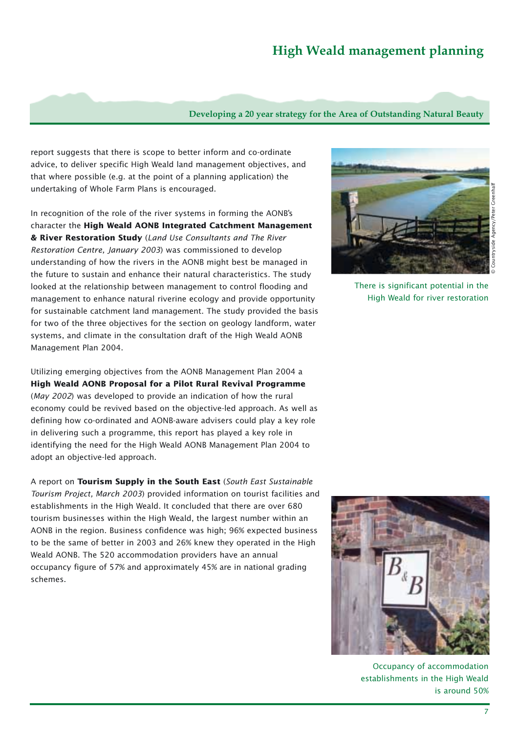# **High Weald management planning**

### **Developing a 20 year strategy for the Area of Outstanding Natural Beauty**

report suggests that there is scope to better inform and co-ordinate advice, to deliver specific High Weald land management objectives, and that where possible (e.g. at the point of a planning application) the undertaking of Whole Farm Plans is encouraged.

In recognition of the role of the river systems in forming the AONB's character the **High Weald AONB Integrated Catchment Management & River Restoration Study** (*Land Use Consultants and The River Restoration Centre, January 2003*) was commissioned to develop understanding of how the rivers in the AONB might best be managed in the future to sustain and enhance their natural characteristics. The study looked at the relationship between management to control flooding and management to enhance natural riverine ecology and provide opportunity for sustainable catchment land management. The study provided the basis for two of the three objectives for the section on geology landform, water systems, and climate in the consultation draft of the High Weald AONB Management Plan 2004.

Utilizing emerging objectives from the AONB Management Plan 2004 a **High Weald AONB Proposal for a Pilot Rural Revival Programme** (*May 2002*) was developed to provide an indication of how the rural economy could be revived based on the objective-led approach. As well as defining how co-ordinated and AONB-aware advisers could play a key role in delivering such a programme, this report has played a key role in identifying the need for the High Weald AONB Management Plan 2004 to adopt an objective-led approach.

A report on **Tourism Supply in the South East** (*South East Sustainable Tourism Project, March 2003*) provided information on tourist facilities and establishments in the High Weald. It concluded that there are over 680 tourism businesses within the High Weald, the largest number within an AONB in the region. Business confidence was high; 96% expected business to be the same of better in 2003 and 26% knew they operated in the High Weald AONB. The 520 accommodation providers have an annual occupancy figure of 57% and approximately 45% are in national grading schemes.



There is significant potential in the High Weald for river restoration



Occupancy of accommodation establishments in the High Weald is around 50%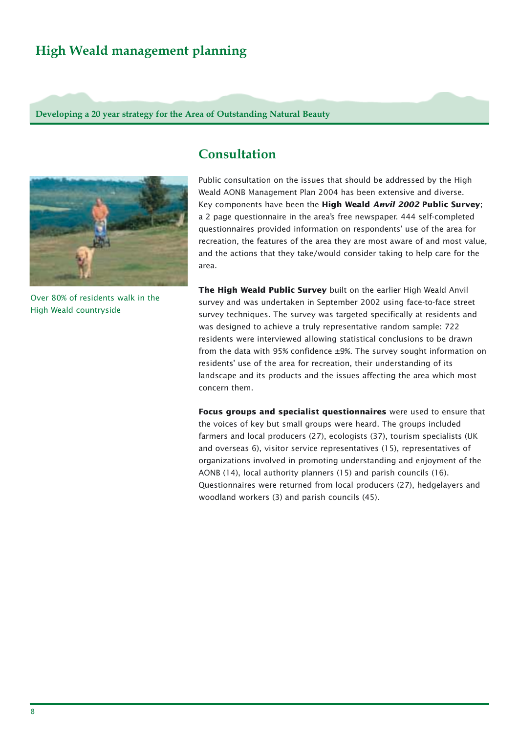# **High Weald management planning**

**Developing a 20 year strategy for the Area of Outstanding Natural Beauty**



Over 80% of residents walk in the High Weald countryside

### **Consultation**

Public consultation on the issues that should be addressed by the High Weald AONB Management Plan 2004 has been extensive and diverse. Key components have been the **High Weald** *Anvil 2002* **Public Survey**; a 2 page questionnaire in the area's free newspaper. 444 self-completed questionnaires provided information on respondents' use of the area for recreation, the features of the area they are most aware of and most value, and the actions that they take/would consider taking to help care for the area.

**The High Weald Public Survey** built on the earlier High Weald Anvil survey and was undertaken in September 2002 using face-to-face street survey techniques. The survey was targeted specifically at residents and was designed to achieve a truly representative random sample: 722 residents were interviewed allowing statistical conclusions to be drawn from the data with 95% confidence ±9%. The survey sought information on residents' use of the area for recreation, their understanding of its landscape and its products and the issues affecting the area which most concern them.

**Focus groups and specialist questionnaires** were used to ensure that the voices of key but small groups were heard. The groups included farmers and local producers (27), ecologists (37), tourism specialists (UK and overseas 6), visitor service representatives (15), representatives of organizations involved in promoting understanding and enjoyment of the AONB (14), local authority planners (15) and parish councils (16). Questionnaires were returned from local producers (27), hedgelayers and woodland workers (3) and parish councils (45).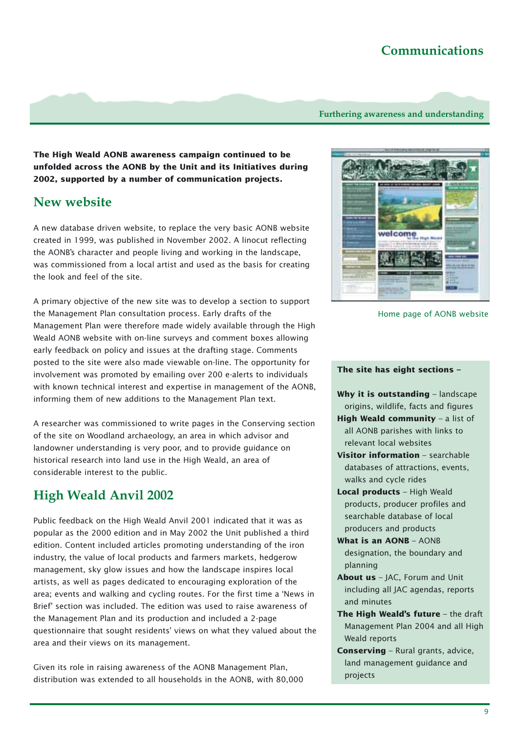# **Communications**

#### **Furthering awareness and understanding**

**The High Weald AONB awareness campaign continued to be unfolded across the AONB by the Unit and its Initiatives during 2002, supported by a number of communication projects.**

### **New website**

A new database driven website, to replace the very basic AONB website created in 1999, was published in November 2002. A linocut reflecting the AONB's character and people living and working in the landscape, was commissioned from a local artist and used as the basis for creating the look and feel of the site.

A primary objective of the new site was to develop a section to support the Management Plan consultation process. Early drafts of the Management Plan were therefore made widely available through the High Weald AONB website with on-line surveys and comment boxes allowing early feedback on policy and issues at the drafting stage. Comments posted to the site were also made viewable on-line. The opportunity for involvement was promoted by emailing over 200 e-alerts to individuals with known technical interest and expertise in management of the AONB, informing them of new additions to the Management Plan text.

A researcher was commissioned to write pages in the Conserving section of the site on Woodland archaeology, an area in which advisor and landowner understanding is very poor, and to provide guidance on historical research into land use in the High Weald, an area of considerable interest to the public.

# **High Weald Anvil 2002**

Public feedback on the High Weald Anvil 2001 indicated that it was as popular as the 2000 edition and in May 2002 the Unit published a third edition. Content included articles promoting understanding of the iron industry, the value of local products and farmers markets, hedgerow management, sky glow issues and how the landscape inspires local artists, as well as pages dedicated to encouraging exploration of the area; events and walking and cycling routes. For the first time a 'News in Brief' section was included. The edition was used to raise awareness of the Management Plan and its production and included a 2-page questionnaire that sought residents' views on what they valued about the area and their views on its management.

Given its role in raising awareness of the AONB Management Plan, distribution was extended to all households in the AONB, with 80,000



Home page of AONB website

### **The site has eight sections –**

- **Why it is outstanding** landscape origins, wildlife, facts and figures **High Weald community** – a list of all AONB parishes with links to relevant local websites
- **Visitor information** searchable databases of attractions, events, walks and cycle rides
- **Local products** High Weald products, producer profiles and searchable database of local producers and products
- **What is an AONB** AONB designation, the boundary and planning
- **About us** JAC, Forum and Unit including all JAC agendas, reports and minutes
- **The High Weald's future** the draft Management Plan 2004 and all High Weald reports
- **Conserving** Rural grants, advice, land management guidance and projects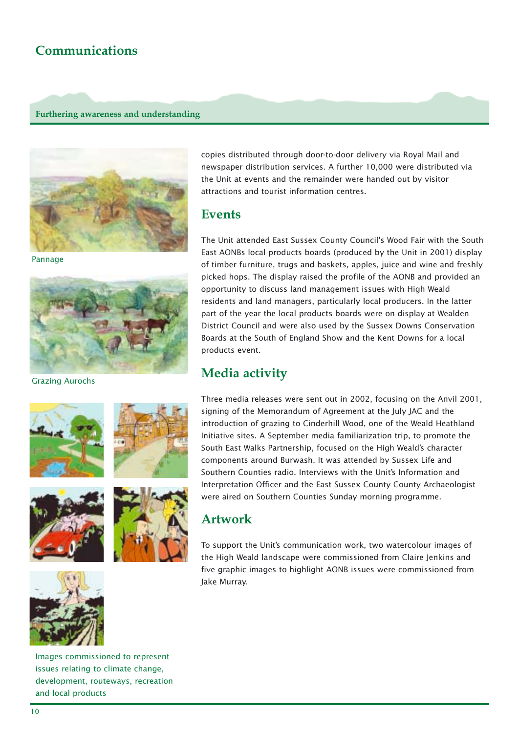# **Communications**

### **Furthering awareness and understanding**



Pannage



Grazing Aurochs







copies distributed through door-to-door delivery via Royal Mail and newspaper distribution services. A further 10,000 were distributed via the Unit at events and the remainder were handed out by visitor attractions and tourist information centres.

### **Events**

The Unit attended East Sussex County Council's Wood Fair with the South East AONBs local products boards (produced by the Unit in 2001) display of timber furniture, trugs and baskets, apples, juice and wine and freshly picked hops. The display raised the profile of the AONB and provided an opportunity to discuss land management issues with High Weald residents and land managers, particularly local producers. In the latter part of the year the local products boards were on display at Wealden District Council and were also used by the Sussex Downs Conservation Boards at the South of England Show and the Kent Downs for a local products event.

# **Media activity**

Three media releases were sent out in 2002, focusing on the Anvil 2001, signing of the Memorandum of Agreement at the July JAC and the introduction of grazing to Cinderhill Wood, one of the Weald Heathland Initiative sites. A September media familiarization trip, to promote the South East Walks Partnership, focused on the High Weald's character components around Burwash. It was attended by Sussex Life and Southern Counties radio. Interviews with the Unit's Information and Interpretation Officer and the East Sussex County County Archaeologist were aired on Southern Counties Sunday morning programme.

# **Artwork**

To support the Unit's communication work, two watercolour images of the High Weald landscape were commissioned from Claire Jenkins and five graphic images to highlight AONB issues were commissioned from Jake Murray.



Images commissioned to represent issues relating to climate change, development, routeways, recreation and local products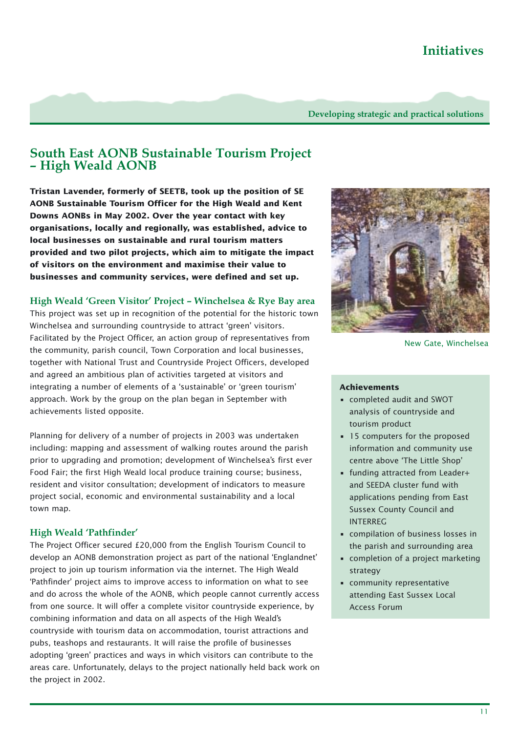## **South East AONB Sustainable Tourism Project – High Weald AONB**

**Tristan Lavender, formerly of SEETB, took up the position of SE AONB Sustainable Tourism Officer for the High Weald and Kent Downs AONBs in May 2002. Over the year contact with key organisations, locally and regionally, was established, advice to local businesses on sustainable and rural tourism matters provided and two pilot projects, which aim to mitigate the impact of visitors on the environment and maximise their value to businesses and community services, were defined and set up.**

### **High Weald 'Green Visitor' Project – Winchelsea & Rye Bay area**

This project was set up in recognition of the potential for the historic town Winchelsea and surrounding countryside to attract 'green' visitors. Facilitated by the Project Officer, an action group of representatives from the community, parish council, Town Corporation and local businesses, together with National Trust and Countryside Project Officers, developed and agreed an ambitious plan of activities targeted at visitors and integrating a number of elements of a 'sustainable' or 'green tourism' approach. Work by the group on the plan began in September with achievements listed opposite.

Planning for delivery of a number of projects in 2003 was undertaken including: mapping and assessment of walking routes around the parish prior to upgrading and promotion; development of Winchelsea's first ever Food Fair; the first High Weald local produce training course; business, resident and visitor consultation; development of indicators to measure project social, economic and environmental sustainability and a local town map.

### **High Weald 'Pathfinder'**

The Project Officer secured £20,000 from the English Tourism Council to develop an AONB demonstration project as part of the national 'Englandnet' project to join up tourism information via the internet. The High Weald 'Pathfinder' project aims to improve access to information on what to see and do across the whole of the AONB, which people cannot currently access from one source. It will offer a complete visitor countryside experience, by combining information and data on all aspects of the High Weald's countryside with tourism data on accommodation, tourist attractions and pubs, teashops and restaurants. It will raise the profile of businesses adopting 'green' practices and ways in which visitors can contribute to the areas care. Unfortunately, delays to the project nationally held back work on the project in 2002.



New Gate, Winchelsea

### **Achievements**

- completed audit and SWOT analysis of countryside and tourism product
- 15 computers for the proposed information and community use centre above 'The Little Shop'
- funding attracted from Leader+ and SEEDA cluster fund with applications pending from East Sussex County Council and INTERREG
- compilation of business losses in the parish and surrounding area
- completion of a project marketing strategy
- community representative attending East Sussex Local Access Forum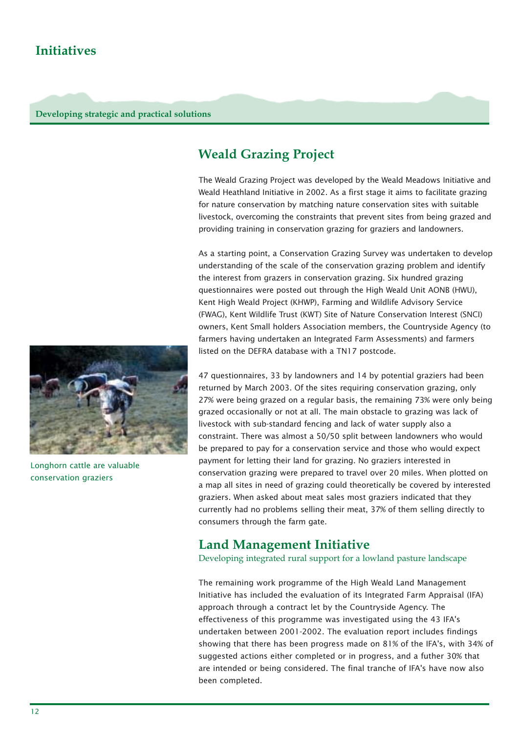# **Weald Grazing Project**

The Weald Grazing Project was developed by the Weald Meadows Initiative and Weald Heathland Initiative in 2002. As a first stage it aims to facilitate grazing for nature conservation by matching nature conservation sites with suitable livestock, overcoming the constraints that prevent sites from being grazed and providing training in conservation grazing for graziers and landowners.

As a starting point, a Conservation Grazing Survey was undertaken to develop understanding of the scale of the conservation grazing problem and identify the interest from grazers in conservation grazing. Six hundred grazing questionnaires were posted out through the High Weald Unit AONB (HWU), Kent High Weald Project (KHWP), Farming and Wildlife Advisory Service (FWAG), Kent Wildlife Trust (KWT) Site of Nature Conservation Interest (SNCI) owners, Kent Small holders Association members, the Countryside Agency (to farmers having undertaken an Integrated Farm Assessments) and farmers listed on the DEFRA database with a TN17 postcode.

47 questionnaires, 33 by landowners and 14 by potential graziers had been returned by March 2003. Of the sites requiring conservation grazing, only 27% were being grazed on a regular basis, the remaining 73% were only being grazed occasionally or not at all. The main obstacle to grazing was lack of livestock with sub-standard fencing and lack of water supply also a constraint. There was almost a 50/50 split between landowners who would be prepared to pay for a conservation service and those who would expect payment for letting their land for grazing. No graziers interested in conservation grazing were prepared to travel over 20 miles. When plotted on a map all sites in need of grazing could theoretically be covered by interested graziers. When asked about meat sales most graziers indicated that they currently had no problems selling their meat, 37% of them selling directly to consumers through the farm gate.

## **Land Management Initiative**

Developing integrated rural support for a lowland pasture landscape

The remaining work programme of the High Weald Land Management Initiative has included the evaluation of its Integrated Farm Appraisal (IFA) approach through a contract let by the Countryside Agency. The effectiveness of this programme was investigated using the 43 IFA's undertaken between 2001-2002. The evaluation report includes findings showing that there has been progress made on 81% of the IFA's, with 34% of suggested actions either completed or in progress, and a futher 30% that are intended or being considered. The final tranche of IFA's have now also been completed.



Longhorn cattle are valuable conservation graziers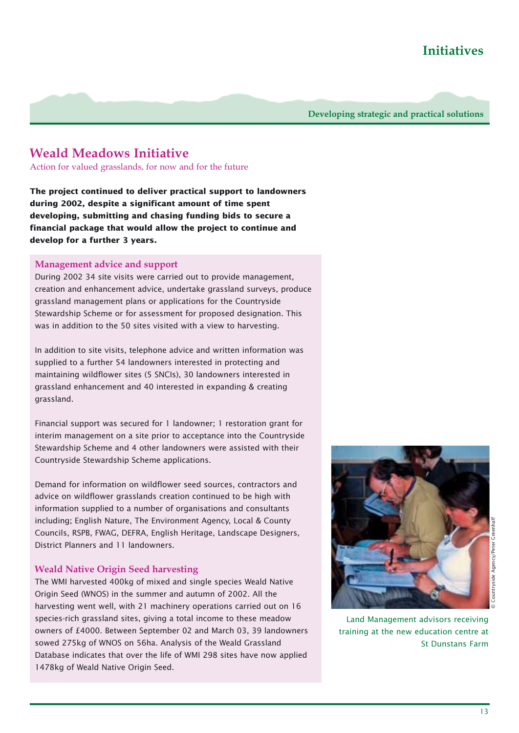# **Weald Meadows Initiative**

Action for valued grasslands, for now and for the future

**The project continued to deliver practical support to landowners during 2002, despite a significant amount of time spent developing, submitting and chasing funding bids to secure a financial package that would allow the project to continue and develop for a further 3 years.** 

### **Management advice and support**

During 2002 34 site visits were carried out to provide management, creation and enhancement advice, undertake grassland surveys, produce grassland management plans or applications for the Countryside Stewardship Scheme or for assessment for proposed designation. This was in addition to the 50 sites visited with a view to harvesting.

In addition to site visits, telephone advice and written information was supplied to a further 54 landowners interested in protecting and maintaining wildflower sites (5 SNCIs), 30 landowners interested in grassland enhancement and 40 interested in expanding & creating grassland.

Financial support was secured for 1 landowner; 1 restoration grant for interim management on a site prior to acceptance into the Countryside Stewardship Scheme and 4 other landowners were assisted with their Countryside Stewardship Scheme applications.

Demand for information on wildflower seed sources, contractors and advice on wildflower grasslands creation continued to be high with information supplied to a number of organisations and consultants including; English Nature, The Environment Agency, Local & County Councils, RSPB, FWAG, DEFRA, English Heritage, Landscape Designers, District Planners and 11 landowners.

### **Weald Native Origin Seed harvesting**

The WMI harvested 400kg of mixed and single species Weald Native Origin Seed (WNOS) in the summer and autumn of 2002. All the harvesting went well, with 21 machinery operations carried out on 16 species-rich grassland sites, giving a total income to these meadow owners of £4000. Between September 02 and March 03, 39 landowners sowed 275kg of WNOS on 56ha. Analysis of the Weald Grassland Database indicates that over the life of WMI 298 sites have now applied 1478kg of Weald Native Origin Seed.



Land Management advisors receiving training at the new education centre at St Dunstans Farm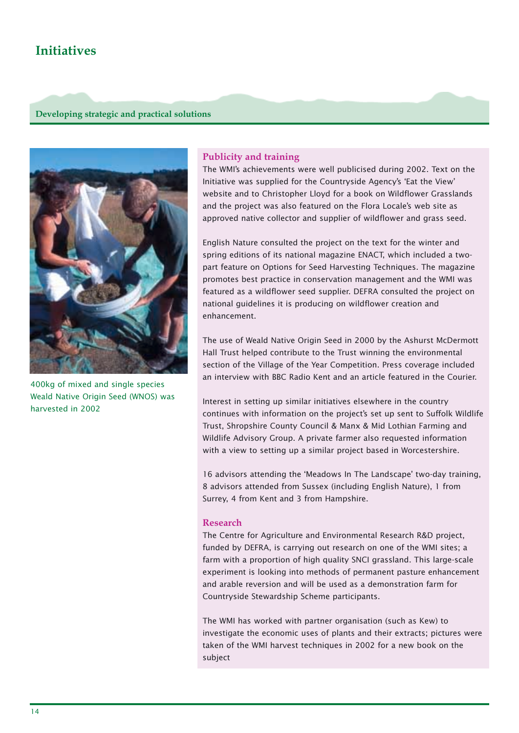# **Initiatives**

### **Developing strategic and practical solutions**



400kg of mixed and single species Weald Native Origin Seed (WNOS) was harvested in 2002

### **Publicity and training**

The WMI's achievements were well publicised during 2002. Text on the Initiative was supplied for the Countryside Agency's 'Eat the View' website and to Christopher Lloyd for a book on Wildflower Grasslands and the project was also featured on the Flora Locale's web site as approved native collector and supplier of wildflower and grass seed.

English Nature consulted the project on the text for the winter and spring editions of its national magazine ENACT, which included a twopart feature on Options for Seed Harvesting Techniques. The magazine promotes best practice in conservation management and the WMI was featured as a wildflower seed supplier. DEFRA consulted the project on national guidelines it is producing on wildflower creation and enhancement.

The use of Weald Native Origin Seed in 2000 by the Ashurst McDermott Hall Trust helped contribute to the Trust winning the environmental section of the Village of the Year Competition. Press coverage included an interview with BBC Radio Kent and an article featured in the Courier.

Interest in setting up similar initiatives elsewhere in the country continues with information on the project's set up sent to Suffolk Wildlife Trust, Shropshire County Council & Manx & Mid Lothian Farming and Wildlife Advisory Group. A private farmer also requested information with a view to setting up a similar project based in Worcestershire.

16 advisors attending the 'Meadows In The Landscape' two-day training, 8 advisors attended from Sussex (including English Nature), 1 from Surrey, 4 from Kent and 3 from Hampshire.

### **Research**

The Centre for Agriculture and Environmental Research R&D project, funded by DEFRA, is carrying out research on one of the WMI sites; a farm with a proportion of high quality SNCI grassland. This large-scale experiment is looking into methods of permanent pasture enhancement and arable reversion and will be used as a demonstration farm for Countryside Stewardship Scheme participants.

The WMI has worked with partner organisation (such as Kew) to investigate the economic uses of plants and their extracts; pictures were taken of the WMI harvest techniques in 2002 for a new book on the subject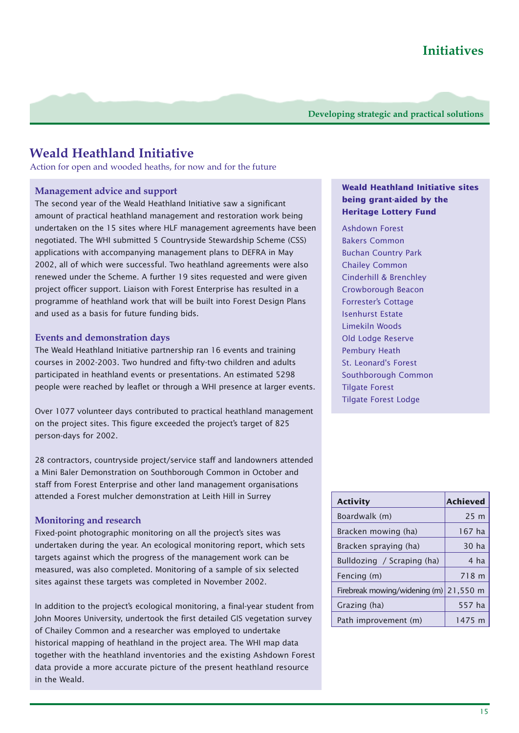# **Weald Heathland Initiative**

Action for open and wooded heaths, for now and for the future

### **Management advice and support**

The second year of the Weald Heathland Initiative saw a significant amount of practical heathland management and restoration work being undertaken on the 15 sites where HLF management agreements have been negotiated. The WHI submitted 5 Countryside Stewardship Scheme (CSS) applications with accompanying management plans to DEFRA in May 2002, all of which were successful. Two heathland agreements were also renewed under the Scheme. A further 19 sites requested and were given project officer support. Liaison with Forest Enterprise has resulted in a programme of heathland work that will be built into Forest Design Plans and used as a basis for future funding bids.

### **Events and demonstration days**

The Weald Heathland Initiative partnership ran 16 events and training courses in 2002-2003. Two hundred and fifty-two children and adults participated in heathland events or presentations. An estimated 5298 people were reached by leaflet or through a WHI presence at larger events.

Over 1077 volunteer days contributed to practical heathland management on the project sites. This figure exceeded the project's target of 825 person-days for 2002.

28 contractors, countryside project/service staff and landowners attended a Mini Baler Demonstration on Southborough Common in October and staff from Forest Enterprise and other land management organisations attended a Forest mulcher demonstration at Leith Hill in Surrey

### **Monitoring and research**

Fixed-point photographic monitoring on all the project's sites was undertaken during the year. An ecological monitoring report, which sets targets against which the progress of the management work can be measured, was also completed. Monitoring of a sample of six selected sites against these targets was completed in November 2002.

In addition to the project's ecological monitoring, a final-year student from John Moores University, undertook the first detailed GIS vegetation survey of Chailey Common and a researcher was employed to undertake historical mapping of heathland in the project area. The WHI map data together with the heathland inventories and the existing Ashdown Forest data provide a more accurate picture of the present heathland resource in the Weald.

### **Weald Heathland Initiative sites being grant-aided by the Heritage Lottery Fund**

Ashdown Forest Bakers Common Buchan Country Park Chailey Common Cinderhill & Brenchley Crowborough Beacon Forrester's Cottage Isenhurst Estate Limekiln Woods Old Lodge Reserve Pembury Heath St. Leonard's Forest Southborough Common Tilgate Forest Tilgate Forest Lodge

| <b>Activity</b>                          | <b>Achieved</b> |  |
|------------------------------------------|-----------------|--|
| Boardwalk (m)                            | 25 <sub>m</sub> |  |
| Bracken mowing (ha)                      | 167 ha          |  |
| Bracken spraying (ha)                    | 30 ha           |  |
| Bulldozing / Scraping (ha)               | 4 ha            |  |
| Fencing (m)                              | 718 m           |  |
| Firebreak mowing/widening $(m)$ 21,550 m |                 |  |
| Grazing (ha)                             | 557 ha          |  |
| Path improvement (m)                     | 1475 m          |  |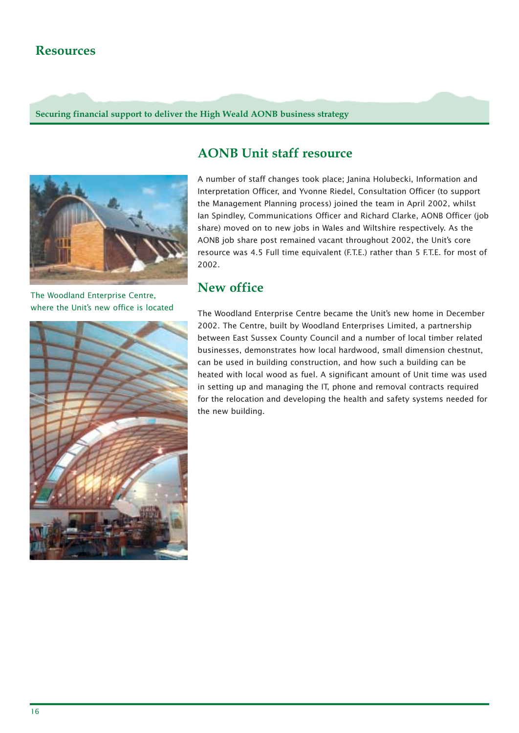### **Resources**

**Securing financial support to deliver the High Weald AONB business strategy** 



The Woodland Enterprise Centre, where the Unit's new office is located



## **AONB Unit staff resource**

A number of staff changes took place; Janina Holubecki, Information and Interpretation Officer, and Yvonne Riedel, Consultation Officer (to support the Management Planning process) joined the team in April 2002, whilst Ian Spindley, Communications Officer and Richard Clarke, AONB Officer (job share) moved on to new jobs in Wales and Wiltshire respectively. As the AONB job share post remained vacant throughout 2002, the Unit's core resource was 4.5 Full time equivalent (F.T.E.) rather than 5 F.T.E. for most of 2002.

# **New office**

The Woodland Enterprise Centre became the Unit's new home in December 2002. The Centre, built by Woodland Enterprises Limited, a partnership between East Sussex County Council and a number of local timber related businesses, demonstrates how local hardwood, small dimension chestnut, can be used in building construction, and how such a building can be heated with local wood as fuel. A significant amount of Unit time was used in setting up and managing the IT, phone and removal contracts required for the relocation and developing the health and safety systems needed for the new building.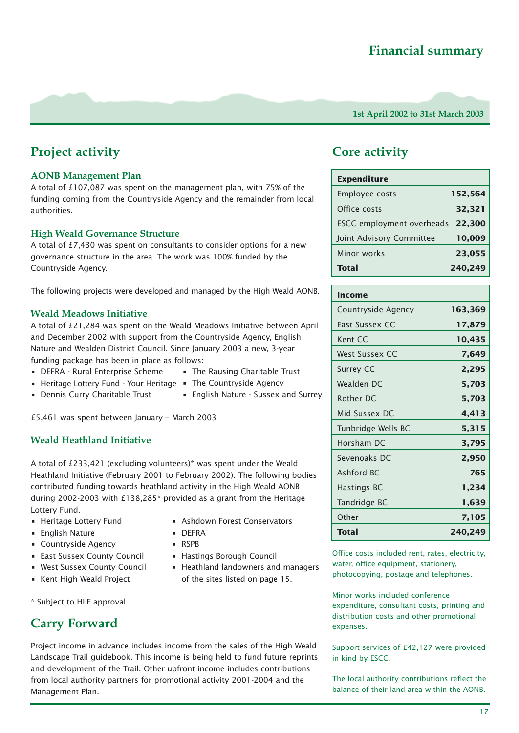# **Financial summary**

**1st April 2002 to 31st March 2003**

# **Project activity**

### **AONB Management Plan**

A total of £107,087 was spent on the management plan, with 75% of the funding coming from the Countryside Agency and the remainder from local authorities.

### **High Weald Governance Structure**

A total of £7,430 was spent on consultants to consider options for a new governance structure in the area. The work was 100% funded by the Countryside Agency.

The following projects were developed and managed by the High Weald AONB.

#### **Weald Meadows Initiative**

A total of £21,284 was spent on the Weald Meadows Initiative between April and December 2002 with support from the Countryside Agency, English Nature and Wealden District Council. Since January 2003 a new, 3-year funding package has been in place as follows:

• DEFRA - Rural Enterprise Scheme

- Heritage Lottery Fund Your Heritage The Countryside Agency
- Dennis Curry Charitable Trust
- The Rausing Charitable Trust
- English Nature Sussex and Surrey

£5,461 was spent between January – March 2003

### **Weald Heathland Initiative**

A total of £233,421 (excluding volunteers)\* was spent under the Weald Heathland Initiative (February 2001 to February 2002). The following bodies contributed funding towards heathland activity in the High Weald AONB during 2002-2003 with £138,285\* provided as a grant from the Heritage Lottery Fund.

- Heritage Lottery Fund
- English Nature
- Countryside Agency
- East Sussex County Council
- West Sussex County Council
- Kent High Weald Project

\* Subject to HLF approval.

# **Carry Forward**

- Ashdown Forest Conservators
- DEFRA
- RSPB
- Hastings Borough Council
- Heathland landowners and managers of the sites listed on page 15.

# **Core activity**

| <b>Expenditure</b>        |         |
|---------------------------|---------|
| Employee costs            | 152,564 |
| Office costs              | 32,321  |
| ESCC employment overheads | 22,300  |
| Joint Advisory Committee  | 10.009  |
| Minor works               | 23,055  |
| <b>Total</b>              | 240.249 |

| Income             |         |
|--------------------|---------|
| Countryside Agency | 163,369 |
| East Sussex CC     | 17,879  |
| Kent CC            | 10,435  |
| West Sussex CC     | 7,649   |
| Surrey CC          | 2,295   |
| Wealden DC         | 5,703   |
| Rother DC          | 5,703   |
| Mid Sussex DC      | 4,413   |
| Tunbridge Wells BC | 5,315   |
| Horsham DC         | 3,795   |
| Sevenoaks DC       | 2,950   |
| Ashford BC         | 765     |
| Hastings BC        | 1,234   |
| Tandridge BC       | 1,639   |
| Other              | 7,105   |
| Total              | 240,249 |

Office costs included rent, rates, electricity, water, office equipment, stationery, photocopying, postage and telephones.

Minor works included conference expenditure, consultant costs, printing and distribution costs and other promotional expenses.

Support services of £42,127 were provided in kind by ESCC.

The local authority contributions reflect the balance of their land area within the AONB.

Project income in advance includes income from the sales of the High Weald Landscape Trail guidebook. This income is being held to fund future reprints and development of the Trail. Other upfront income includes contributions from local authority partners for promotional activity 2001-2004 and the Management Plan.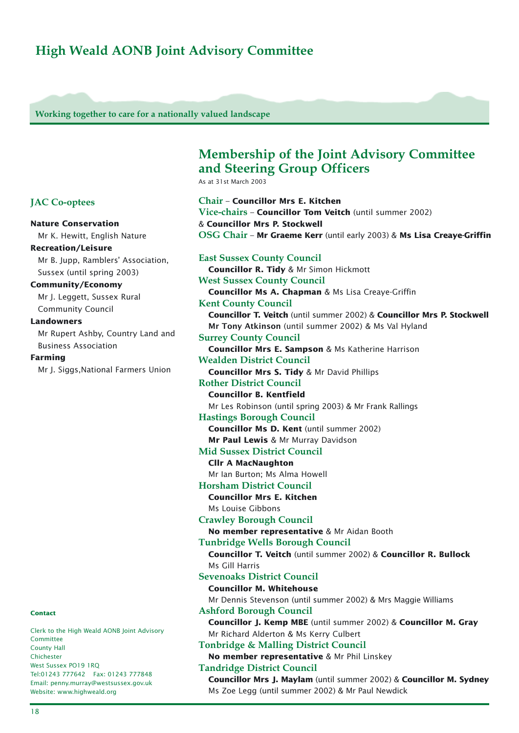# **High Weald AONB Joint Advisory Committee**

**Working together to care for a nationally valued landscape**

# **Membership of the Joint Advisory Committee and Steering Group Officers**

As at 31st March 2003

| Chair - Councillor Mrs E. Kitchen<br>Vice-chairs - Councillor Tom Veitch (until summer 2002)<br>& Councillor Mrs P. Stockwell |
|-------------------------------------------------------------------------------------------------------------------------------|
| OSG Chair - Mr Graeme Kerr (until early 2003) & Ms Lisa Creaye-Griffin                                                        |
| <b>East Sussex County Council</b>                                                                                             |
| <b>Councillor R. Tidy &amp; Mr Simon Hickmott</b>                                                                             |
| <b>West Sussex County Council</b>                                                                                             |
| <b>Councillor Ms A. Chapman &amp; Ms Lisa Creaye-Griffin</b>                                                                  |
| <b>Kent County Council</b>                                                                                                    |
| Councillor T. Veitch (until summer 2002) & Councillor Mrs P. Stockwell                                                        |
| Mr Tony Atkinson (until summer 2002) & Ms Val Hyland                                                                          |
| <b>Surrey County Council</b>                                                                                                  |
| <b>Councillor Mrs E. Sampson &amp; Ms Katherine Harrison</b>                                                                  |
| <b>Wealden District Council</b>                                                                                               |
| Councillor Mrs S. Tidy & Mr David Phillips                                                                                    |
| <b>Rother District Council</b>                                                                                                |
| <b>Councillor B. Kentfield</b>                                                                                                |
| Mr Les Robinson (until spring 2003) & Mr Frank Rallings                                                                       |
| <b>Hastings Borough Council</b>                                                                                               |
| <b>Councillor Ms D. Kent (until summer 2002)</b>                                                                              |
| Mr Paul Lewis & Mr Murray Davidson                                                                                            |
| <b>Mid Sussex District Council</b>                                                                                            |
| <b>Clir A MacNaughton</b>                                                                                                     |
| Mr Ian Burton; Ms Alma Howell                                                                                                 |
| <b>Horsham District Council</b>                                                                                               |
| <b>Councillor Mrs E. Kitchen</b>                                                                                              |
| Ms Louise Gibbons                                                                                                             |
| <b>Crawley Borough Council</b>                                                                                                |
| No member representative & Mr Aidan Booth                                                                                     |
| <b>Tunbridge Wells Borough Council</b>                                                                                        |
| Councillor T. Veitch (until summer 2002) & Councillor R. Bullock                                                              |
| Ms Gill Harris                                                                                                                |
| <b>Sevenoaks District Council</b>                                                                                             |
| <b>Councillor M. Whitehouse</b>                                                                                               |
| Mr Dennis Stevenson (until summer 2002) & Mrs Maggie Williams                                                                 |
| <b>Ashford Borough Council</b>                                                                                                |
| Councillor J. Kemp MBE (until summer 2002) & Councillor M. Gray                                                               |
| Mr Richard Alderton & Ms Kerry Culbert                                                                                        |
| <b>Tonbridge &amp; Malling District Council</b>                                                                               |
| No member representative & Mr Phil Linskey                                                                                    |
| <b>Tandridge District Council</b>                                                                                             |
| Councillor Mrs J. Maylam (until summer 2002) & Councillor M. Sydney                                                           |
| Ms Zoe Legg (until summer 2002) & Mr Paul Newdick                                                                             |
|                                                                                                                               |

### **JAC Co-optees**

### **Nature Conservation**

Mr K. Hewitt, English Nature

### **Recreation/Leisure**

Mr B. Jupp, Ramblers' Association, Sussex (until spring 2003)

### **Community/Economy**

Mr J. Leggett, Sussex Rural Community Council

### **Landowners**

Mr Rupert Ashby, Country Land and Business Association

### **Farming**

Mr J. Siggs, National Farmers Unio

**Contact** 

Clerk to the High Weald AONB Joint Advisory Committee County Hall Chichester West Sussex PO19 1RQ Tel:01243 777642 Fax: 01243 777848 Email: penny.murray@westsussex.gov.uk Website: www.highweald.org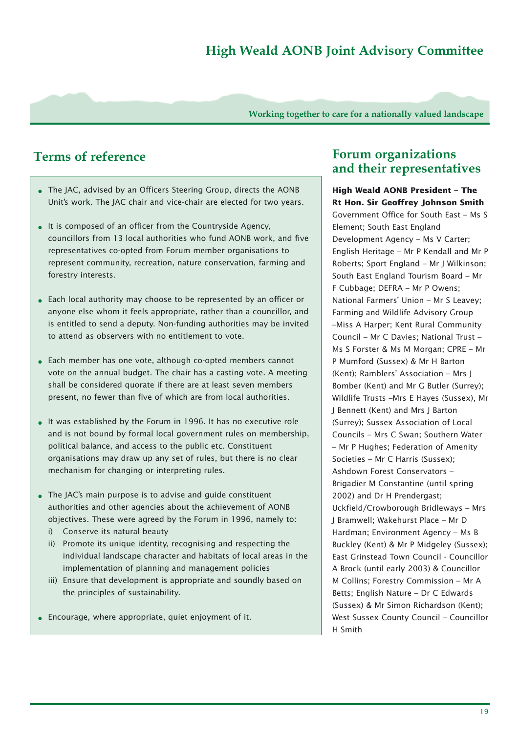# **High Weald AONB Joint Advisory Committee**

**Working together to care for a nationally valued landscape**

# **Terms of reference**

- The JAC, advised by an Officers Steering Group, directs the AONB Unit's work. The JAC chair and vice-chair are elected for two years.
- It is composed of an officer from the Countryside Agency, councillors from 13 local authorities who fund AONB work, and five representatives co-opted from Forum member organisations to represent community, recreation, nature conservation, farming and forestry interests.
- Each local authority may choose to be represented by an officer or anyone else whom it feels appropriate, rather than a councillor, and is entitled to send a deputy. Non-funding authorities may be invited to attend as observers with no entitlement to vote.
- Each member has one vote, although co-opted members cannot vote on the annual budget. The chair has a casting vote. A meeting shall be considered quorate if there are at least seven members present, no fewer than five of which are from local authorities.
- It was established by the Forum in 1996. It has no executive role and is not bound by formal local government rules on membership, political balance, and access to the public etc. Constituent organisations may draw up any set of rules, but there is no clear mechanism for changing or interpreting rules.
- The JAC's main purpose is to advise and quide constituent authorities and other agencies about the achievement of AONB objectives. These were agreed by the Forum in 1996, namely to:
	- i) Conserve its natural beauty
	- ii) Promote its unique identity, recognising and respecting the individual landscape character and habitats of local areas in the implementation of planning and management policies
	- iii) Ensure that development is appropriate and soundly based on the principles of sustainability.
- Encourage, where appropriate, quiet enjoyment of it.

# **Forum organizations and their representatives**

### **High Weald AONB President – The Rt Hon. Sir Geoffrey Johnson Smith** Government Office for South East – Ms S Element; South East England Development Agency – Ms V Carter; English Heritage – Mr P Kendall and Mr P Roberts; Sport England – Mr J Wilkinson; South East England Tourism Board – Mr F Cubbage; DEFRA – Mr P Owens; National Farmers' Union – Mr S Leavey; Farming and Wildlife Advisory Group –Miss A Harper; Kent Rural Community Council – Mr C Davies; National Trust – Ms S Forster & Ms M Morgan; CPRE – Mr P Mumford (Sussex) & Mr H Barton (Kent); Ramblers' Association – Mrs J Bomber (Kent) and Mr G Butler (Surrey); Wildlife Trusts –Mrs E Hayes (Sussex), Mr J Bennett (Kent) and Mrs J Barton (Surrey); Sussex Association of Local Councils – Mrs C Swan; Southern Water – Mr P Hughes; Federation of Amenity Societies – Mr C Harris (Sussex); Ashdown Forest Conservators – Brigadier M Constantine (until spring 2002) and Dr H Prendergast; Uckfield/Crowborough Bridleways – Mrs J Bramwell; Wakehurst Place – Mr D Hardman; Environment Agency – Ms B Buckley (Kent) & Mr P Midgeley (Sussex); East Grinstead Town Council - Councillor A Brock (until early 2003) & Councillor M Collins; Forestry Commission – Mr A Betts; English Nature – Dr C Edwards (Sussex) & Mr Simon Richardson (Kent); West Sussex County Council – Councillor H Smith